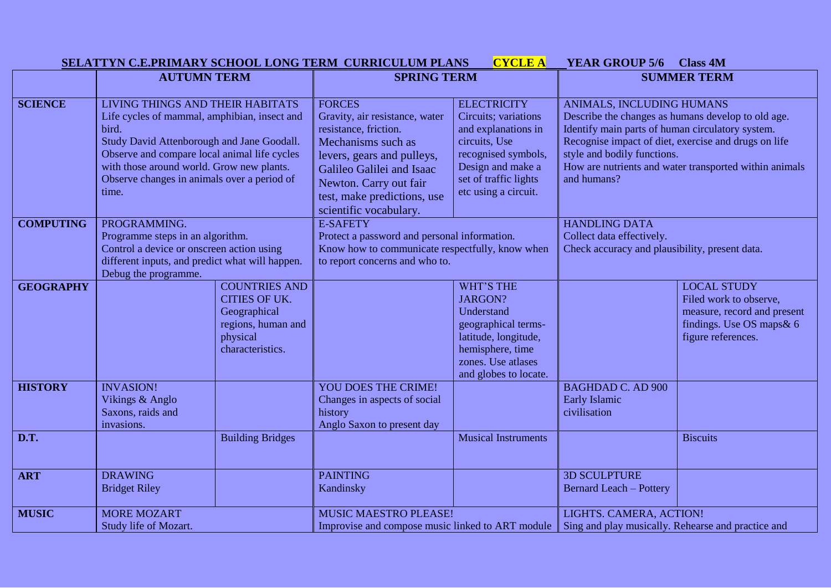|                  | SELATTYN C.E.PRIMARY SCHOOL LONG TERM CURRICULUM PLANS                                                                                                                                                                                                                                       |                                                                                                                    | <b>CYCLE A</b>                                                                                                                                                                                                                               | <b>YEAR GROUP 5/6</b><br><b>Class 4M</b>                                                                                                                                        |                                                                                                                                                                                                                                                                                                     |                                                                                                                                |
|------------------|----------------------------------------------------------------------------------------------------------------------------------------------------------------------------------------------------------------------------------------------------------------------------------------------|--------------------------------------------------------------------------------------------------------------------|----------------------------------------------------------------------------------------------------------------------------------------------------------------------------------------------------------------------------------------------|---------------------------------------------------------------------------------------------------------------------------------------------------------------------------------|-----------------------------------------------------------------------------------------------------------------------------------------------------------------------------------------------------------------------------------------------------------------------------------------------------|--------------------------------------------------------------------------------------------------------------------------------|
|                  | <b>AUTUMN TERM</b>                                                                                                                                                                                                                                                                           |                                                                                                                    | <b>SPRING TERM</b>                                                                                                                                                                                                                           |                                                                                                                                                                                 | <b>SUMMER TERM</b>                                                                                                                                                                                                                                                                                  |                                                                                                                                |
| <b>SCIENCE</b>   | LIVING THINGS AND THEIR HABITATS<br>Life cycles of mammal, amphibian, insect and<br>bird.<br>Study David Attenborough and Jane Goodall.<br>Observe and compare local animal life cycles<br>with those around world. Grow new plants.<br>Observe changes in animals over a period of<br>time. |                                                                                                                    | <b>FORCES</b><br>Gravity, air resistance, water<br>resistance, friction.<br>Mechanisms such as<br>levers, gears and pulleys,<br>Galileo Galilei and Isaac<br>Newton. Carry out fair<br>test, make predictions, use<br>scientific vocabulary. | <b>ELECTRICITY</b><br>Circuits; variations<br>and explanations in<br>circuits, Use<br>recognised symbols,<br>Design and make a<br>set of traffic lights<br>etc using a circuit. | ANIMALS, INCLUDING HUMANS<br>Describe the changes as humans develop to old age.<br>Identify main parts of human circulatory system.<br>Recognise impact of diet, exercise and drugs on life<br>style and bodily functions.<br>How are nutrients and water transported within animals<br>and humans? |                                                                                                                                |
| <b>COMPUTING</b> | PROGRAMMING.<br>Programme steps in an algorithm.<br>Control a device or onscreen action using<br>different inputs, and predict what will happen.<br>Debug the programme.                                                                                                                     |                                                                                                                    | <b>E-SAFETY</b><br>Protect a password and personal information.<br>Know how to communicate respectfully, know when<br>to report concerns and who to.                                                                                         |                                                                                                                                                                                 | <b>HANDLING DATA</b><br>Collect data effectively.<br>Check accuracy and plausibility, present data.                                                                                                                                                                                                 |                                                                                                                                |
| <b>GEOGRAPHY</b> |                                                                                                                                                                                                                                                                                              | <b>COUNTRIES AND</b><br><b>CITIES OF UK.</b><br>Geographical<br>regions, human and<br>physical<br>characteristics. |                                                                                                                                                                                                                                              | <b>WHT'S THE</b><br><b>JARGON?</b><br>Understand<br>geographical terms-<br>latitude, longitude,<br>hemisphere, time<br>zones. Use atlases<br>and globes to locate.              |                                                                                                                                                                                                                                                                                                     | <b>LOCAL STUDY</b><br>Filed work to observe,<br>measure, record and present<br>findings. Use OS maps & 6<br>figure references. |
| <b>HISTORY</b>   | <b>INVASION!</b><br>Vikings & Anglo<br>Saxons, raids and<br>invasions.                                                                                                                                                                                                                       |                                                                                                                    | <b>YOU DOES THE CRIME!</b><br>Changes in aspects of social<br>history<br>Anglo Saxon to present day                                                                                                                                          |                                                                                                                                                                                 | <b>BAGHDAD C. AD 900</b><br>Early Islamic<br>civilisation                                                                                                                                                                                                                                           |                                                                                                                                |
| D.T.             |                                                                                                                                                                                                                                                                                              | <b>Building Bridges</b>                                                                                            |                                                                                                                                                                                                                                              | <b>Musical Instruments</b>                                                                                                                                                      |                                                                                                                                                                                                                                                                                                     | <b>Biscuits</b>                                                                                                                |
| <b>ART</b>       | <b>DRAWING</b><br><b>Bridget Riley</b>                                                                                                                                                                                                                                                       |                                                                                                                    | <b>PAINTING</b><br>Kandinsky                                                                                                                                                                                                                 |                                                                                                                                                                                 | <b>3D SCULPTURE</b><br><b>Bernard Leach - Pottery</b>                                                                                                                                                                                                                                               |                                                                                                                                |
| <b>MUSIC</b>     | <b>MORE MOZART</b><br>Study life of Mozart.                                                                                                                                                                                                                                                  |                                                                                                                    | <b>MUSIC MAESTRO PLEASE!</b><br>Improvise and compose music linked to ART module                                                                                                                                                             |                                                                                                                                                                                 | LIGHTS. CAMERA, ACTION!<br>Sing and play musically. Rehearse and practice and                                                                                                                                                                                                                       |                                                                                                                                |